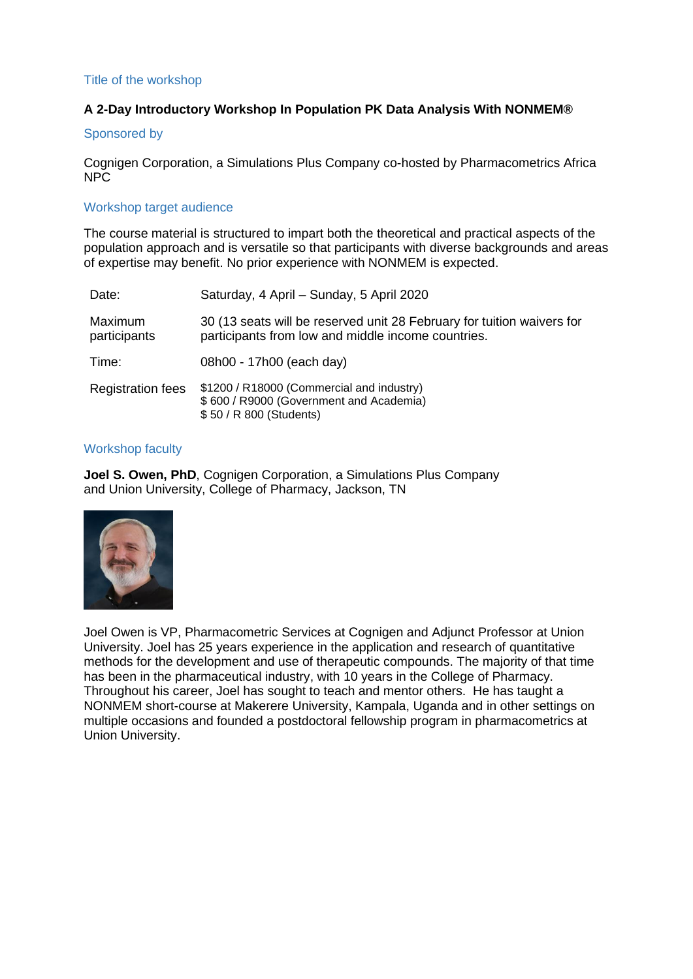#### Title of the workshop

## **A 2-Day Introductory Workshop In Population PK Data Analysis With NONMEM®**

#### Sponsored by

Cognigen Corporation, a Simulations Plus Company co-hosted by Pharmacometrics Africa NPC

#### Workshop target audience

The course material is structured to impart both the theoretical and practical aspects of the population approach and is versatile so that participants with diverse backgrounds and areas of expertise may benefit. No prior experience with NONMEM is expected.

| Date:                    | Saturday, 4 April - Sunday, 5 April 2020                                                                                     |
|--------------------------|------------------------------------------------------------------------------------------------------------------------------|
| Maximum<br>participants  | 30 (13 seats will be reserved unit 28 February for tuition waivers for<br>participants from low and middle income countries. |
| Time:                    | 08h00 - 17h00 (each day)                                                                                                     |
| <b>Registration fees</b> | \$1200 / R18000 (Commercial and industry)<br>\$600 / R9000 (Government and Academia)<br>\$50 / R 800 (Students)              |

#### Workshop faculty

**Joel S. Owen, PhD**, Cognigen Corporation, a Simulations Plus Company and Union University, College of Pharmacy, Jackson, TN



Joel Owen is VP, Pharmacometric Services at Cognigen and Adjunct Professor at Union University. Joel has 25 years experience in the application and research of quantitative methods for the development and use of therapeutic compounds. The majority of that time has been in the pharmaceutical industry, with 10 years in the College of Pharmacy. Throughout his career, Joel has sought to teach and mentor others. He has taught a NONMEM short-course at Makerere University, Kampala, Uganda and in other settings on multiple occasions and founded a postdoctoral fellowship program in pharmacometrics at Union University.